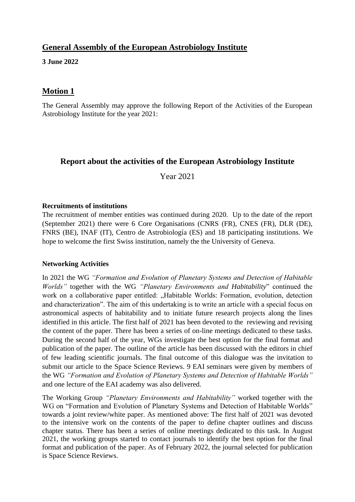# **General Assembly of the European Astrobiology Institute**

#### **3 June 2022**

## **Motion 1**

The General Assembly may approve the following Report of the Activities of the European Astrobiology Institute for the year 2021:

## **Report about the activities of the European Astrobiology Institute**

Year 2021

#### **Recruitments of institutions**

The recruitment of member entities was continued during 2020. Up to the date of the report (September 2021) there were 6 Core Organisations (CNRS (FR), CNES (FR), DLR (DE), FNRS (BE), INAF (IT), Centro de Astrobiología (ES) and 18 participating institutions. We hope to welcome the first Swiss institution, namely the the University of Geneva.

### **Networking Activities**

In 2021 the WG *"Formation and Evolution of Planetary Systems and Detection of Habitable Worlds"* together with the WG *"Planetary Environments and Habitability*" continued the work on a collaborative paper entitled: "Habitable Worlds: Formation, evolution, detection and characterization". The aim of this undertaking is to write an article with a special focus on astronomical aspects of habitability and to initiate future research projects along the lines identified in this article. The first half of 2021 has been devoted to the reviewing and revising the content of the paper. There has been a series of on-line meetings dedicated to these tasks. During the second half of the year, WGs investigate the best option for the final format and publication of the paper. The outline of the article has been discussed with the editors in chief of few leading scientific journals. The final outcome of this dialogue was the invitation to submit our article to the Space Science Reviews. 9 EAI seminars were given by members of the WG *"Formation and Evolution of Planetary Systems and Detection of Habitable Worlds"*  and one lecture of the EAI academy was also delivered*.* 

The Working Group *"Planetary Environments and Habitability"* worked together with the WG on "Formation and Evolution of Planetary Systems and Detection of Habitable Worlds" towards a joint review/white paper. As mentioned above: The first half of 2021 was devoted to the intensive work on the contents of the paper to define chapter outlines and discuss chapter status. There has been a series of online meetings dedicated to this task. In August 2021, the working groups started to contact journals to identify the best option for the final format and publication of the paper. As of February 2022, the journal selected for publication is Space Science Reviews.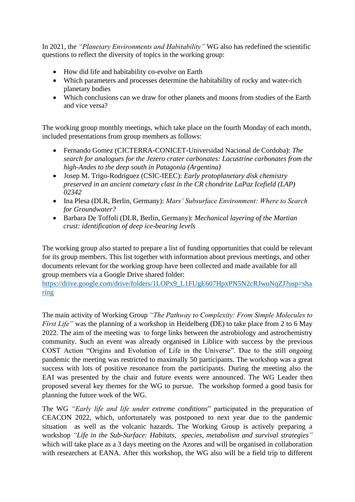In 2021, the *"Planetary Environments and Habitability"* WG also has redefined the scientific questions to reflect the diversity of topics in the working group:

- How did life and habitability co-evolve on Earth
- Which parameters and processes determine the habitability of rocky and water-rich planetary bodies
- Which conclusions can we draw for other planets and moons from studies of the Earth and vice versa?

The working group monthly meetings, which take place on the fourth Monday of each month, included presentations from group members as follows:

- Fernando Gomez (CICTERRA-CONICET-Universidad Nacional de Cordoba): *The search for analogues for the Jezero crater carbonates: Lacustrine carbonates from the high-Andes to the deep south in Patagonia (Argentina)*
- Josep M. Trigo-Rodriguez (CSIC-IEEC): *Early protoplanetary disk chemistry preserved in an ancient cometary clast in the CR chondrite LaPaz Icefield (LAP) 02342*
- Ina Plesa (DLR, Berlin, Germany): *Mars' Subsurface Environment: Where to Search for Groundwater?*
- Barbara De Toffoli (DLR, Berlin, Germany): *Mechanical layering of the Martian crust: identification of deep ice-bearing levels*

The working group also started to prepare a list of funding opportunities that could be relevant for its group members. This list together with information about previous meetings, and other documents relevant for the working group have been collected and made available for all group members via a Google Drive shared folder:

[https://drive.google.com/drive/folders/1LOPx9\\_L1FUgE607HpxPN5N2cRJwuNqZJ?usp=sha](https://drive.google.com/drive/folders/1LOPx9_L1FUgE607HpxPN5N2cRJwuNqZJ?usp=sharing) [ring](https://drive.google.com/drive/folders/1LOPx9_L1FUgE607HpxPN5N2cRJwuNqZJ?usp=sharing)

The main activity of Working Group *"The Pathway to Complexity: From Simple Molecules to First Life*" was the planning of a workshop in Heidelberg (DE) to take place from 2 to 6 May 2022. The aim of the meeting was to forge links between the astrobiology and astrochemistry community. Such an event was already organised in Liblice with success by the previous COST Action "Origins and Evolution of Life in the Universe". Due to the still ongoing pandemic the meeting was restricted to maximally 50 participants. The workshop was a great success with lots of positive resonance from the participants. During the meeting also the EAI was presented by the chair and future events were announced. The WG Leader then proposed several key themes for the WG to pursue. The workshop formed a good basis for planning the future work of the WG.

The WG *"Early life and life under extreme conditions*" participated in the preparation of CEACON 2022, which, unfortunately was postponed to next year due to the pandemic situation as well as the volcanic hazards. The Working Group is actively preparing a workshop *"Life in the Sub-Surface: Habitats, species, metabolism and survival strategies"*  which will take place as a 3 days meeting on the Azores and will be organised in collaboration with researchers at EANA. After this workshop, the WG also will be a field trip to different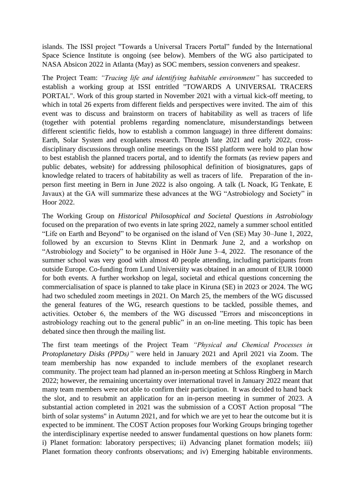islands. The ISSI project "Towards a Universal Tracers Portal" funded by the International Space Science Institute is ongoing (see below). Members of the WG also participated to NASA Absicon 2022 in Atlanta (May) as SOC members, session conveners and speakesr.

The Project Team: *"Tracing life and identifying habitable environment"* has succeeded to establish a working group at ISSI entritled "TOWARDS A UNIVERSAL TRACERS PORTAL". Work of this group started in November 2021 with a virtual kick-off meeting, to which in total 26 experts from different fields and perspectives were invited. The aim of this event was to discuss and brainstorm on tracers of habitability as well as tracers of life (together with potential problems regarding nomenclature, misunderstandings between different scientific fields, how to establish a common language) in three different domains: Earth, Solar System and exoplanets research. Through late 2021 and early 2022, crossdisciplinary discussions through online meetings on the ISSI platform were hold to plan how to best establish the planned tracers portal, and to identify the formats (as review papers and public debates, website) for addressing philosophical definition of biosignatures, gaps of knowledge related to tracers of habitability as well as tracers of life. Preparation of the inperson first meeting in Bern in June 2022 is also ongoing. A talk (L Noack, IG Tenkate, E Javaux) at the GA will summarize these advances at the WG "Astrobiology and Society" in Hoor 2022.

The Working Group on *Historical Philosophical and Societal Questions in Astrobiology* focused on the preparation of two events in late spring 2022, namely a summer school entitled "Life on Earth and Beyond" to be organised on the island of Ven (SE) May 30–June 1, 2022, followed by an excursion to Stevns Klint in Denmark June 2, and a workshop on "Astrobiology and Society" to be organised in Höör June 3–4, 2022. The resonance of the summer school was very good with almost 40 people attending, including participants from outside Europe. Co-funding from Lund Universiity was obtained in an amount of EUR 10000 for both events. A further workshop on legal, societal and ethical questions concerning the commercialisation of space is planned to take place in Kiruna (SE) in 2023 or 2024. The WG had two scheduled zoom meetings in 2021. On March 25, the members of the WG discussed the general features of the WG, research questions to be tackled, possible themes, and activities. October 6, the members of the WG discussed "Errors and misconceptions in astrobiology reaching out to the general public" in an on-line meeting. This topic has been debated since then through the mailing list.

The first team meetings of the Project Team *"Physical and Chemical Processes in Protoplanetary Disks (PPDs)"* were held in January 2021 and April 2021 via Zoom. The team membership has now expanded to include members of the exoplanet research community. The project team had planned an in-person meeting at Schloss Ringberg in March 2022; however, the remaining uncertainty over international travel in January 2022 meant that many team members were not able to confirm their participation. It was decided to hand back the slot, and to resubmit an application for an in-person meeting in summer of 2023. A substantial action completed in 2021 was the submission of a COST Action proposal "The birth of solar systems" in Autumn 2021, and for which we are yet to hear the outcome but it is expected to be imminent. The COST Action proposes four Working Groups bringing together the interdisciplinary expertise needed to answer fundamental questions on how planets form: i) Planet formation: laboratory perspectives; ii) Advancing planet formation models; iii) Planet formation theory confronts observations; and iv) Emerging habitable environments.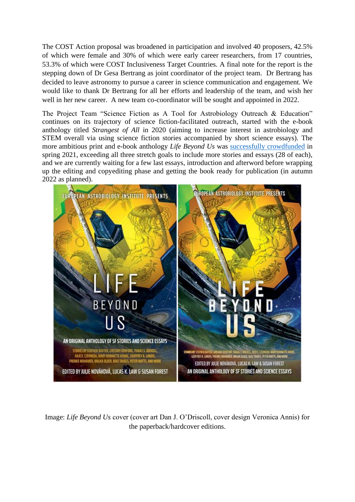The COST Action proposal was broadened in participation and involved 40 proposers, 42.5% of which were female and 30% of which were early career researchers, from 17 countries, 53.3% of which were COST Inclusiveness Target Countries. A final note for the report is the stepping down of Dr Gesa Bertrang as joint coordinator of the project team. Dr Bertrang has decided to leave astronomy to pursue a career in science communication and engagement. We would like to thank Dr Bertrang for all her efforts and leadership of the team, and wish her well in her new career. A new team co-coordinator will be sought and appointed in 2022.

The Project Team "Science Fiction as A Tool for Astrobiology Outreach & Education" continues on its trajectory of science fiction-facilitated outreach, started with the e-book anthology titled *Strangest of All* in 2020 (aiming to increase interest in astrobiology and STEM overall via using science fiction stories accompanied by short science essays). The more ambitious print and e-book anthology *Life Beyond Us* was [successfully crowdfunded](https://www.kickstarter.com/projects/laksamedia/european-astrobiology-institute-presents-life-beyond-us) in spring 2021, exceeding all three stretch goals to include more stories and essays (28 of each), and we are currently waiting for a few last essays, introduction and afterword before wrapping up the editing and copyediting phase and getting the book ready for publication (in autumn 2022 as planned).



Image: *Life Beyond Us* cover (cover art Dan J. O'Driscoll, cover design Veronica Annis) for the paperback/hardcover editions.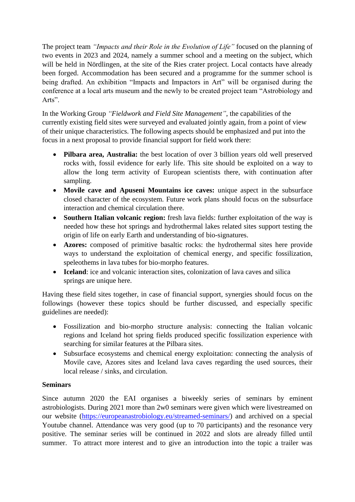The project team *"Impacts and their Role in the Evolution of Life"* focused on the planning of two events in 2023 and 2024, namely a summer school and a meeting on the subject, which will be held in Nördlingen, at the site of the Ries crater project. Local contacts have already been forged. Accommodation has been secured and a programme for the summer school is being drafted. An exhibition "Impacts and Impactors in Art" will be organised during the conference at a local arts museum and the newly to be created project team "Astrobiology and Arts".

In the Working Group *"Fieldwork and Field Site Management"*, the capabilities of the currently existing field sites were surveyed and evaluated jointly again, from a point of view of their unique characteristics. The following aspects should be emphasized and put into the focus in a next proposal to provide financial support for field work there:

- **Pilbara area, Australia:** the best location of over 3 billion years old well preserved rocks with, fossil evidence for early life. This site should be exploited on a way to allow the long term activity of European scientists there, with continuation after sampling.
- **Movile cave and Apuseni Mountains ice caves:** unique aspect in the subsurface closed character of the ecosystem. Future work plans should focus on the subsurface interaction and chemical circulation there.
- **Southern Italian volcanic region:** fresh lava fields: further exploitation of the way is needed how these hot springs and hydrothermal lakes related sites support testing the origin of life on early Earth and understanding of bio-signatures.
- **Azores:** composed of primitive basaltic rocks: the hydrothermal sites here provide ways to understand the exploitation of chemical energy, and specific fossilization, speleothems in lava tubes for bio-morpho features.
- **Iceland**: ice and volcanic interaction sites, colonization of lava caves and silica springs are unique here.

Having these field sites together, in case of financial support, synergies should focus on the followings (however these topics should be further discussed, and especially specific guidelines are needed):

- Fossilization and bio-morpho structure analysis: connecting the Italian volcanic regions and Iceland hot spring fields produced specific fossilization experience with searching for similar features at the Pilbara sites.
- Subsurface ecosystems and chemical energy exploitation: connecting the analysis of Movile cave, Azores sites and Iceland lava caves regarding the used sources, their local release / sinks, and circulation.

### **Seminars**

Since autumn 2020 the EAI organises a biweekly series of seminars by eminent astrobiologists. During 2021 more than 2w0 seminars were given which were livestreamed on our website [\(https://europeanastrobiology.eu/streamed-seminars/\)](https://europeanastrobiology.eu/streamed-seminars/) and archived on a special Youtube channel. Attendance was very good (up to 70 participants) and the resonance very positive. The seminar series will be continued in 2022 and slots are already filled until summer. To attract more interest and to give an introduction into the topic a trailer was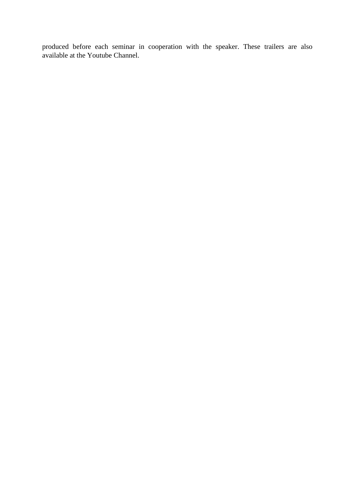produced before each seminar in cooperation with the speaker. These trailers are also available at the Youtube Channel.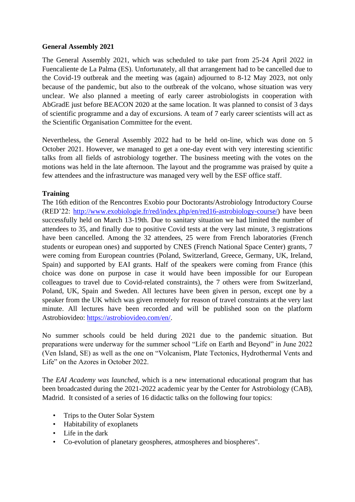#### **General Assembly 2021**

The General Assembly 2021, which was scheduled to take part from 25-24 April 2022 in Fuencaliente de La Palma (ES). Unfortunately, all that arrangement had to be cancelled due to the Covid-19 outbreak and the meeting was (again) adjourned to 8-12 May 2023, not only because of the pandemic, but also to the outbreak of the volcano, whose situation was very unclear. We also planned a meeting of early career astrobiologists in cooperation with AbGradE just before BEACON 2020 at the same location. It was planned to consist of 3 days of scientific programme and a day of excursions. A team of 7 early career scientists will act as the Scientific Organisation Committee for the event.

Nevertheless, the General Assembly 2022 had to be held on-line, which was done on 5 October 2021. However, we managed to get a one-day event with very interesting scientific talks from all fields of astrobiology together. The business meeting with the votes on the motions was held in the late afternoon. The layout and the programme was praised by quite a few attendees and the infrastructure was managed very well by the ESF office staff.

### **Training**

The 16th edition of the Rencontres Exobio pour Doctorants/Astrobiology Introductory Course (RED'22: [http://www.exobiologie.fr/red/index.php/en/red16-astrobiology-course/\)](http://www.exobiologie.fr/red/index.php/en/red16-astrobiology-course/) have been successfully held on March 13-19th. Due to sanitary situation we had limited the number of attendees to 35, and finally due to positive Covid tests at the very last minute, 3 registrations have been cancelled. Among the 32 attendees, 25 were from French laboratories (French students or european ones) and supported by CNES (French National Space Center) grants, 7 were coming from European countries (Poland, Switzerland, Greece, Germany, UK, Ireland, Spain) and supported by EAI grants. Half of the speakers were coming from France (this choice was done on purpose in case it would have been impossible for our European colleagues to travel due to Covid-related constraints), the 7 others were from Switzerland, Poland, UK, Spain and Sweden. All lectures have been given in person, except one by a speaker from the UK which was given remotely for reason of travel constraints at the very last minute. All lectures have been recorded and will be published soon on the platform Astrobiovideo: [https://astrobiovideo.com/en/.](https://astrobiovideo.com/en/)

No summer schools could be held during 2021 due to the pandemic situation. But preparations were underway for the summer school "Life on Earth and Beyond" in June 2022 (Ven Island, SE) as well as the one on "Volcanism, Plate Tectonics, Hydrothermal Vents and Life" on the Azores in October 2022.

The *EAI Academy was launched,* which is a new international educational program that has been broadcasted during the 2021-2022 academic year by the Center for Astrobiology (CAB), Madrid. It consisted of a series of 16 didactic talks on the following four topics:

- Trips to the Outer Solar System
- Habitability of exoplanets
- Life in the dark
- Co-evolution of planetary geospheres, atmospheres and biospheres".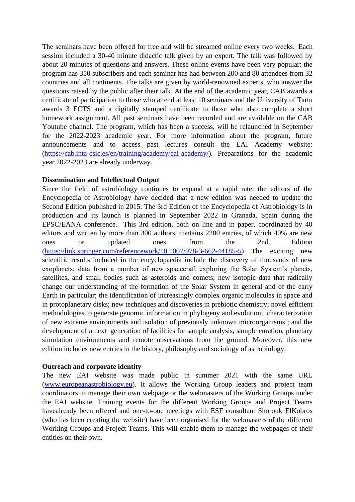The seminars have been offered for free and will be streamed online every two weeks. Each session included a 30-40 minute didactic talk given by an expert. The talk was followed by about 20 minutes of questions and answers. These online events have been very popular: the program has 350 subscribers and each seminar has had between 200 and 80 attendees from 32 countries and all continents. The talks are given by world-renowned experts, who answer the questions raised by the public after their talk. At the end of the academic year, CAB awards a certificate of participation to those who attend at least 10 seminars and the University of Tartu awards 3 ECTS and a digitally stamped certificate to those who also complete a short homework assignment. All past seminars have been recorded and are available on the CAB Youtube channel. The program, which has been a success, will be relaunched in September for the 2022-2023 academic year. For more information about the program, future announcements and to access past lectures consult the EAI Academy website: [\(https://cab.inta-csic.es/en/training/academy/eai-academy/\)](https://cab.inta-csic.es/en/training/academy/eai-academy/). Preparations for the academic year 2022-2023 are already underway.

#### **Dissemination and Intellectual Output**

Since the field of astrobiology continues to expand at a rapid rate, the editors of the Encyclopedia of Astrobiology have decided that a new edition was needed to update the Second Edition published in 2015. The 3rd Edition of the Encyclopedia of Astrobiology is in production and its launch is planned in September 2022 in Granada, Spain during the EPSC/EANA conference. This 3rd edition, both on line and in paper, coordinated by 40 editors and written by more than 300 authors, contains 2200 entries, of which 40% are new ones or updated ones from the 2nd Edition [\(https://link.springer.com/referencework/10.1007/978-3-662-44185-5\)](https://link.springer.com/referencework/10.1007/978-3-662-44185-5) The exciting new scientific results included in the encyclopaedia include the discovery of thousands of new exoplanets; data from a number of new spacecraft exploring the Solar System's planets, satellites, and small bodies such as asteroids and comets; new isotopic data that radically change our understanding of the formation of the Solar System in general and of the early Earth in particular; the identification of increasingly complex organic molecules in space and in protoplanetary disks; new techniques and discoveries in prebiotic chemistry; novel efficient methodologies to generate genomic information in phylogeny and evolution; characterization of new extreme environments and isolation of previously unknown microorganisms ; and the development of a next generation of facilities for sample analysis, sample curation, planetary simulation environments and remote observations from the ground. Moreover, this new edition includes new entries in the history, philosophy and sociology of astrobiology.

#### **Outreach and corporate identity**

The new EAI website was made public in summer 2021 with the same URL [\(www.europeanastrobiology.eu\)](http://www.europeanastrobiology.eu/). It allows the Working Group leaders and project team coordinators to manage their own webpage or the webmasters of the Working Groups under the EAI website. Training events for the different Working Groups and Project Teams havealready been offered and one-to-one meetings with ESF consultant Shorouk ElKobros (who has been creating the website) have been organised for the webmasters of the different Working Groups and Project Teams. This will enable them to manage the webpages of their entities on their own.